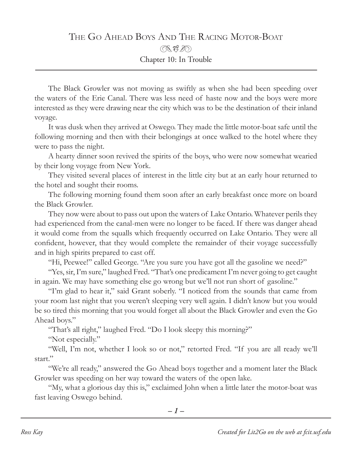## The Go Ahead Boys And The Racing Motor-Boat  $\mathbb{R}$ t $\mathbb{Z}$ Chapter 10: In Trouble

The Black Growler was not moving as swiftly as when she had been speeding over the waters of the Erie Canal. There was less need of haste now and the boys were more interested as they were drawing near the city which was to be the destination of their inland voyage.

It was dusk when they arrived at Oswego. They made the little motor-boat safe until the following morning and then with their belongings at once walked to the hotel where they were to pass the night.

A hearty dinner soon revived the spirits of the boys, who were now somewhat wearied by their long voyage from New York.

They visited several places of interest in the little city but at an early hour returned to the hotel and sought their rooms.

The following morning found them soon after an early breakfast once more on board the Black Growler.

They now were about to pass out upon the waters of Lake Ontario. Whatever perils they had experienced from the canal-men were no longer to be faced. If there was danger ahead it would come from the squalls which frequently occurred on Lake Ontario. They were all confident, however, that they would complete the remainder of their voyage successfully and in high spirits prepared to cast off.

"Hi, Peewee!" called George. "Are you sure you have got all the gasoline we need?"

"Yes, sir, I'm sure," laughed Fred. "That's one predicament I'm never going to get caught in again. We may have something else go wrong but we'll not run short of gasoline."

"I'm glad to hear it," said Grant soberly. "I noticed from the sounds that came from your room last night that you weren't sleeping very well again. I didn't know but you would be so tired this morning that you would forget all about the Black Growler and even the Go Ahead boys."

"That's all right," laughed Fred. "Do I look sleepy this morning?"

"Not especially."

"Well, I'm not, whether I look so or not," retorted Fred. "If you are all ready we'll start."

"We're all ready," answered the Go Ahead boys together and a moment later the Black Growler was speeding on her way toward the waters of the open lake.

"My, what a glorious day this is," exclaimed John when a little later the motor-boat was fast leaving Oswego behind.

*– –*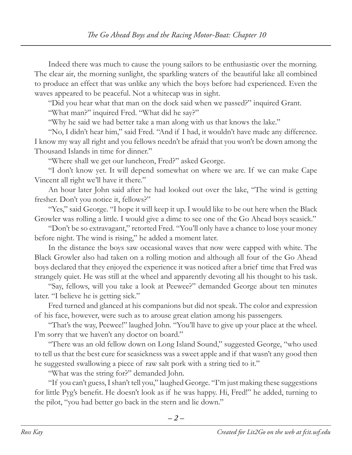Indeed there was much to cause the young sailors to be enthusiastic over the morning. The clear air, the morning sunlight, the sparkling waters of the beautiful lake all combined to produce an effect that was unlike any which the boys before had experienced. Even the waves appeared to be peaceful. Not a whitecap was in sight.

"Did you hear what that man on the dock said when we passed?" inquired Grant.

"What man?" inquired Fred. "What did he say?"

"Why he said we had better take a man along with us that knows the lake."

"No, I didn't hear him," said Fred. "And if I had, it wouldn't have made any difference. I know my way all right and you fellows needn't be afraid that you won't be down among the Thousand Islands in time for dinner."

"Where shall we get our luncheon, Fred?" asked George.

"I don't know yet. It will depend somewhat on where we are. If we can make Cape Vincent all right we'll have it there."

An hour later John said after he had looked out over the lake, "The wind is getting fresher. Don't you notice it, fellows?"

"Yes," said George. "I hope it will keep it up. I would like to be out here when the Black Growler was rolling a little. I would give a dime to see one of the Go Ahead boys seasick."

"Don't be so extravagant," retorted Fred. "You'll only have a chance to lose your money before night. The wind is rising," he added a moment later.

In the distance the boys saw occasional waves that now were capped with white. The Black Growler also had taken on a rolling motion and although all four of the Go Ahead boys declared that they enjoyed the experience it was noticed after a brief time that Fred was strangely quiet. He was still at the wheel and apparently devoting all his thought to his task.

"Say, fellows, will you take a look at Peewee?" demanded George about ten minutes later. "I believe he is getting sick."

Fred turned and glanced at his companions but did not speak. The color and expression of his face, however, were such as to arouse great elation among his passengers.

"That's the way, Peewee!" laughed John. "You'll have to give up your place at the wheel. I'm sorry that we haven't any doctor on board."

"There was an old fellow down on Long Island Sound," suggested George, "who used to tell us that the best cure for seasickness was a sweet apple and if that wasn't any good then he suggested swallowing a piece of raw salt pork with a string tied to it."

"What was the string for?" demanded John.

"If you can't guess, I shan't tell you," laughed George. "I'm just making these suggestions for little Pyg's benefit. He doesn't look as if he was happy. Hi, Fred!" he added, turning to the pilot, "you had better go back in the stern and lie down."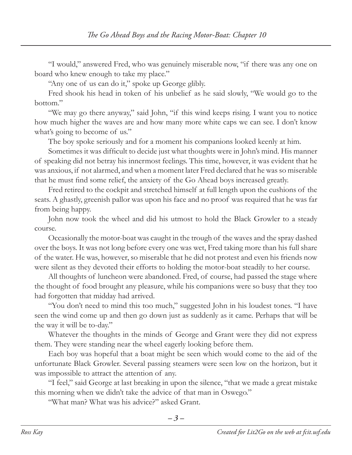"I would," answered Fred, who was genuinely miserable now, "if there was any one on board who knew enough to take my place."

"Any one of us can do it," spoke up George glibly.

Fred shook his head in token of his unbelief as he said slowly, "We would go to the bottom."

"We may go there anyway," said John, "if this wind keeps rising. I want you to notice how much higher the waves are and how many more white caps we can see. I don't know what's going to become of us."

The boy spoke seriously and for a moment his companions looked keenly at him.

Sometimes it was difficult to decide just what thoughts were in John's mind. His manner of speaking did not betray his innermost feelings. This time, however, it was evident that he was anxious, if not alarmed, and when a moment later Fred declared that he was so miserable that he must find some relief, the anxiety of the Go Ahead boys increased greatly.

Fred retired to the cockpit and stretched himself at full length upon the cushions of the seats. A ghastly, greenish pallor was upon his face and no proof was required that he was far from being happy.

John now took the wheel and did his utmost to hold the Black Growler to a steady course.

Occasionally the motor-boat was caught in the trough of the waves and the spray dashed over the boys. It was not long before every one was wet, Fred taking more than his full share of the water. He was, however, so miserable that he did not protest and even his friends now were silent as they devoted their efforts to holding the motor-boat steadily to her course.

All thoughts of luncheon were abandoned. Fred, of course, had passed the stage where the thought of food brought any pleasure, while his companions were so busy that they too had forgotten that midday had arrived.

"You don't need to mind this too much," suggested John in his loudest tones. "I have seen the wind come up and then go down just as suddenly as it came. Perhaps that will be the way it will be to-day."

Whatever the thoughts in the minds of George and Grant were they did not express them. They were standing near the wheel eagerly looking before them.

Each boy was hopeful that a boat might be seen which would come to the aid of the unfortunate Black Growler. Several passing steamers were seen low on the horizon, but it was impossible to attract the attention of any.

"I feel," said George at last breaking in upon the silence, "that we made a great mistake this morning when we didn't take the advice of that man in Oswego."

"What man? What was his advice?" asked Grant.